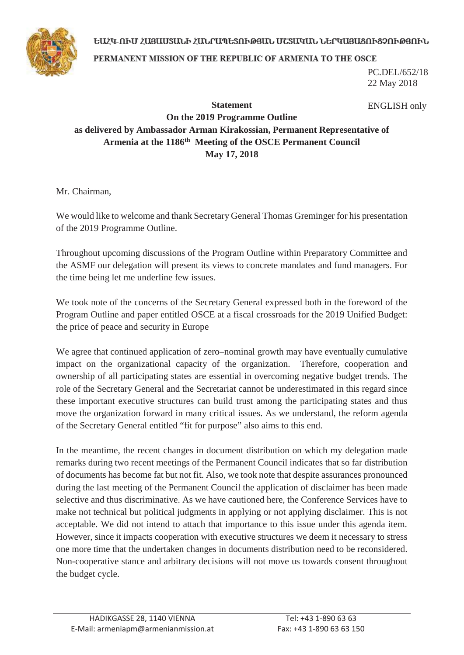## ԵԱՀԿ-ՈՒՄ ՀԱՑԱՍՏԱՆԻ ՀԱՆՐԱՊԵՏՈՒԹՅԱՆ ՄՇՏԱԿԱՆ ՆԵՐԿԱՑԱՑՈՒՑՉՈՒԹՅՈՒՆ



PERMANENT MISSION OF THE REPUBLIC OF ARMENIA TO THE OSCE

PC.DEL/652/18 22 May 2018

## **Statement On the 2019 Programme Outline as delivered by Ambassador Arman Kirakossian, Permanent Representative of**  Armenia at the 1186<sup>th</sup> Meeting of the OSCE Permanent Council **May 17, 2018** ENGLISH only

Mr. Chairman,

We would like to welcome and thank Secretary General Thomas Greminger for his presentation of the 2019 Programme Outline.

Throughout upcoming discussions of the Program Outline within Preparatory Committee and the ASMF our delegation will present its views to concrete mandates and fund managers. For the time being let me underline few issues.

We took note of the concerns of the Secretary General expressed both in the foreword of the Program Outline and paper entitled OSCE at a fiscal crossroads for the 2019 Unified Budget: the price of peace and security in Europe

We agree that continued application of zero–nominal growth may have eventually cumulative impact on the organizational capacity of the organization. Therefore, cooperation and ownership of all participating states are essential in overcoming negative budget trends. The role of the Secretary General and the Secretariat cannot be underestimated in this regard since these important executive structures can build trust among the participating states and thus move the organization forward in many critical issues. As we understand, the reform agenda of the Secretary General entitled "fit for purpose" also aims to this end.

In the meantime, the recent changes in document distribution on which my delegation made remarks during two recent meetings of the Permanent Council indicates that so far distribution of documents has become fat but not fit. Also, we took note that despite assurances pronounced during the last meeting of the Permanent Council the application of disclaimer has been made selective and thus discriminative. As we have cautioned here, the Conference Services have to make not technical but political judgments in applying or not applying disclaimer. This is not acceptable. We did not intend to attach that importance to this issue under this agenda item. However, since it impacts cooperation with executive structures we deem it necessary to stress one more time that the undertaken changes in documents distribution need to be reconsidered. Non-cooperative stance and arbitrary decisions will not move us towards consent throughout the budget cycle.